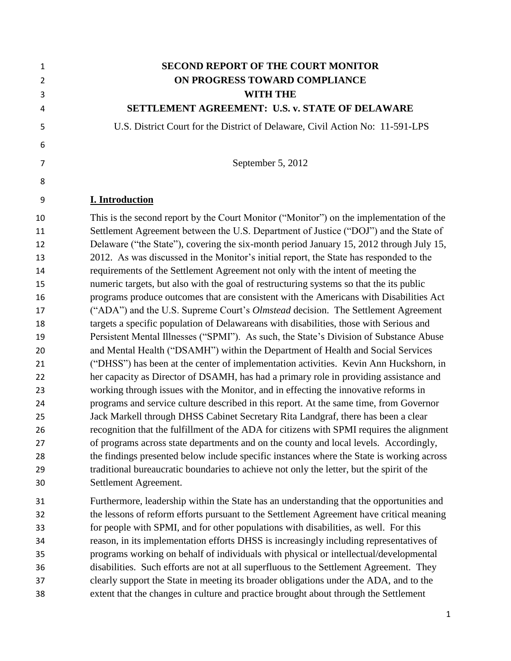| $\mathbf{1}$<br>$\overline{2}$ | <b>SECOND REPORT OF THE COURT MONITOR</b><br>ON PROGRESS TOWARD COMPLIANCE                                                                                                                                                                                                 |
|--------------------------------|----------------------------------------------------------------------------------------------------------------------------------------------------------------------------------------------------------------------------------------------------------------------------|
| 3                              | <b>WITH THE</b>                                                                                                                                                                                                                                                            |
| 4                              | SETTLEMENT AGREEMENT: U.S. v. STATE OF DELAWARE                                                                                                                                                                                                                            |
| 5                              | U.S. District Court for the District of Delaware, Civil Action No: 11-591-LPS                                                                                                                                                                                              |
| 6                              |                                                                                                                                                                                                                                                                            |
| 7                              | September 5, 2012                                                                                                                                                                                                                                                          |
| 8                              |                                                                                                                                                                                                                                                                            |
| 9                              | <b>I. Introduction</b>                                                                                                                                                                                                                                                     |
| 10<br>11<br>12                 | This is the second report by the Court Monitor ("Monitor") on the implementation of the<br>Settlement Agreement between the U.S. Department of Justice ("DOJ") and the State of<br>Delaware ("the State"), covering the six-month period January 15, 2012 through July 15, |
| 13                             | 2012. As was discussed in the Monitor's initial report, the State has responded to the                                                                                                                                                                                     |
| 14                             | requirements of the Settlement Agreement not only with the intent of meeting the                                                                                                                                                                                           |
| 15                             | numeric targets, but also with the goal of restructuring systems so that the its public                                                                                                                                                                                    |
| 16                             | programs produce outcomes that are consistent with the Americans with Disabilities Act                                                                                                                                                                                     |
| 17                             | ("ADA") and the U.S. Supreme Court's <i>Olmstead</i> decision. The Settlement Agreement                                                                                                                                                                                    |
| 18                             | targets a specific population of Delawareans with disabilities, those with Serious and                                                                                                                                                                                     |
| 19                             | Persistent Mental Illnesses ("SPMI"). As such, the State's Division of Substance Abuse                                                                                                                                                                                     |
| 20                             | and Mental Health ("DSAMH") within the Department of Health and Social Services                                                                                                                                                                                            |
| 21                             | ("DHSS") has been at the center of implementation activities. Kevin Ann Huckshorn, in                                                                                                                                                                                      |
| 22                             | her capacity as Director of DSAMH, has had a primary role in providing assistance and                                                                                                                                                                                      |
| 23                             | working through issues with the Monitor, and in effecting the innovative reforms in                                                                                                                                                                                        |
| 24                             | programs and service culture described in this report. At the same time, from Governor                                                                                                                                                                                     |
| 25                             | Jack Markell through DHSS Cabinet Secretary Rita Landgraf, there has been a clear                                                                                                                                                                                          |
| 26                             | recognition that the fulfillment of the ADA for citizens with SPMI requires the alignment                                                                                                                                                                                  |
| 27                             | of programs across state departments and on the county and local levels. Accordingly,                                                                                                                                                                                      |
| 28                             | the findings presented below include specific instances where the State is working across                                                                                                                                                                                  |
| 29                             | traditional bureaucratic boundaries to achieve not only the letter, but the spirit of the                                                                                                                                                                                  |
| 30                             | Settlement Agreement.                                                                                                                                                                                                                                                      |
| 31                             | Furthermore, leadership within the State has an understanding that the opportunities and                                                                                                                                                                                   |
| 32                             | the lessons of reform efforts pursuant to the Settlement Agreement have critical meaning                                                                                                                                                                                   |
| 33                             | for people with SPMI, and for other populations with disabilities, as well. For this                                                                                                                                                                                       |
| 34                             | reason, in its implementation efforts DHSS is increasingly including representatives of                                                                                                                                                                                    |
| 35                             | programs working on behalf of individuals with physical or intellectual/developmental                                                                                                                                                                                      |
| 36                             | disabilities. Such efforts are not at all superfluous to the Settlement Agreement. They                                                                                                                                                                                    |
| 37                             | clearly support the State in meeting its broader obligations under the ADA, and to the                                                                                                                                                                                     |
| 38                             | extent that the changes in culture and practice brought about through the Settlement                                                                                                                                                                                       |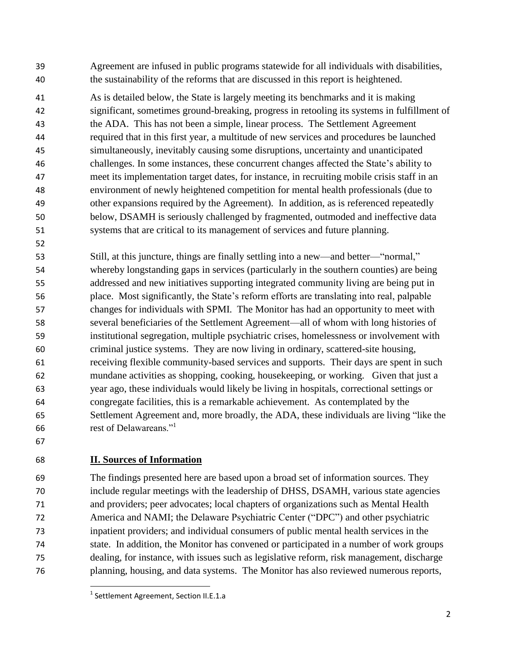Agreement are infused in public programs statewide for all individuals with disabilities, the sustainability of the reforms that are discussed in this report is heightened.

 As is detailed below, the State is largely meeting its benchmarks and it is making significant, sometimes ground-breaking, progress in retooling its systems in fulfillment of the ADA. This has not been a simple, linear process. The Settlement Agreement required that in this first year, a multitude of new services and procedures be launched simultaneously, inevitably causing some disruptions, uncertainty and unanticipated challenges. In some instances, these concurrent changes affected the State's ability to meet its implementation target dates, for instance, in recruiting mobile crisis staff in an environment of newly heightened competition for mental health professionals (due to other expansions required by the Agreement). In addition, as is referenced repeatedly below, DSAMH is seriously challenged by fragmented, outmoded and ineffective data systems that are critical to its management of services and future planning.

 Still, at this juncture, things are finally settling into a new—and better—"normal," whereby longstanding gaps in services (particularly in the southern counties) are being addressed and new initiatives supporting integrated community living are being put in place. Most significantly, the State's reform efforts are translating into real, palpable changes for individuals with SPMI. The Monitor has had an opportunity to meet with several beneficiaries of the Settlement Agreement—all of whom with long histories of institutional segregation, multiple psychiatric crises, homelessness or involvement with criminal justice systems. They are now living in ordinary, scattered-site housing, receiving flexible community-based services and supports. Their days are spent in such mundane activities as shopping, cooking, housekeeping, or working. Given that just a year ago, these individuals would likely be living in hospitals, correctional settings or congregate facilities, this is a remarkable achievement. As contemplated by the Settlement Agreement and, more broadly, the ADA, these individuals are living "like the rest of Delawareans."<sup>1</sup> 

## **II. Sources of Information**

 The findings presented here are based upon a broad set of information sources. They include regular meetings with the leadership of DHSS, DSAMH, various state agencies and providers; peer advocates; local chapters of organizations such as Mental Health America and NAMI; the Delaware Psychiatric Center ("DPC") and other psychiatric inpatient providers; and individual consumers of public mental health services in the state. In addition, the Monitor has convened or participated in a number of work groups dealing, for instance, with issues such as legislative reform, risk management, discharge planning, housing, and data systems. The Monitor has also reviewed numerous reports,

 $\overline{\phantom{a}}$ <sup>1</sup> Settlement Agreement, Section II.E.1.a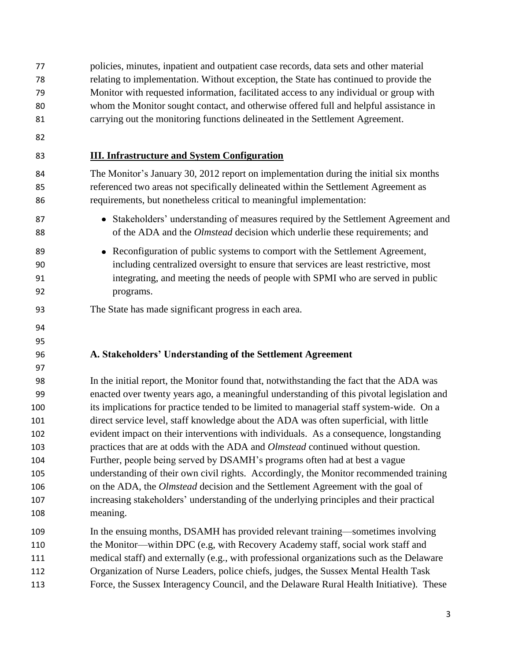policies, minutes, inpatient and outpatient case records, data sets and other material relating to implementation. Without exception, the State has continued to provide the Monitor with requested information, facilitated access to any individual or group with whom the Monitor sought contact, and otherwise offered full and helpful assistance in carrying out the monitoring functions delineated in the Settlement Agreement. **III. Infrastructure and System Configuration** The Monitor's January 30, 2012 report on implementation during the initial six months referenced two areas not specifically delineated within the Settlement Agreement as requirements, but nonetheless critical to meaningful implementation: 87 Stakeholders' understanding of measures required by the Settlement Agreement and 88 of the ADA and the *Olmstead* decision which underlie these requirements; and Reconfiguration of public systems to comport with the Settlement Agreement*,*  including centralized oversight to ensure that services are least restrictive, most integrating, and meeting the needs of people with SPMI who are served in public programs. The State has made significant progress in each area. **A. Stakeholders' Understanding of the Settlement Agreement** In the initial report, the Monitor found that, notwithstanding the fact that the ADA was enacted over twenty years ago, a meaningful understanding of this pivotal legislation and its implications for practice tended to be limited to managerial staff system-wide. On a direct service level, staff knowledge about the ADA was often superficial, with little evident impact on their interventions with individuals. As a consequence, longstanding practices that are at odds with the ADA and *Olmstead* continued without question. Further, people being served by DSAMH's programs often had at best a vague understanding of their own civil rights. Accordingly, the Monitor recommended training on the ADA, the *Olmstead* decision and the Settlement Agreement with the goal of increasing stakeholders' understanding of the underlying principles and their practical meaning. In the ensuing months, DSAMH has provided relevant training—sometimes involving the Monitor—within DPC (e.g, with Recovery Academy staff, social work staff and medical staff) and externally (e.g., with professional organizations such as the Delaware Organization of Nurse Leaders, police chiefs, judges, the Sussex Mental Health Task

Force, the Sussex Interagency Council, and the Delaware Rural Health Initiative). These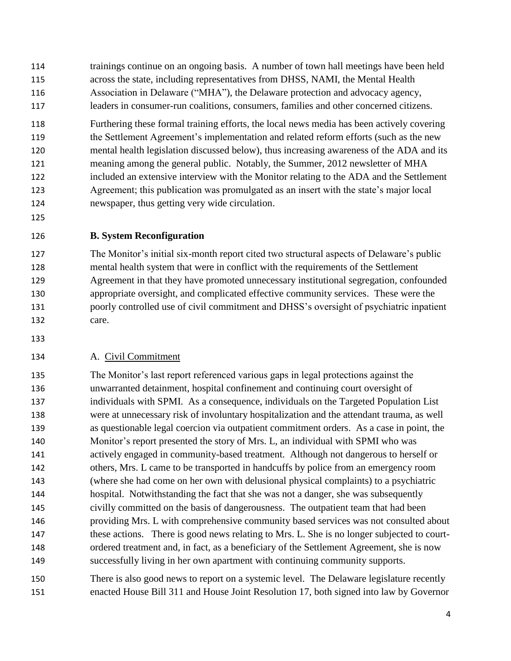- trainings continue on an ongoing basis. A number of town hall meetings have been held across the state, including representatives from DHSS, NAMI, the Mental Health Association in Delaware ("MHA"), the Delaware protection and advocacy agency, leaders in consumer-run coalitions, consumers, families and other concerned citizens.
- Furthering these formal training efforts, the local news media has been actively covering the Settlement Agreement's implementation and related reform efforts (such as the new mental health legislation discussed below), thus increasing awareness of the ADA and its meaning among the general public. Notably, the Summer, 2012 newsletter of MHA included an extensive interview with the Monitor relating to the ADA and the Settlement Agreement; this publication was promulgated as an insert with the state's major local newspaper, thus getting very wide circulation.
- 
- **B. System Reconfiguration**

 The Monitor's initial six-month report cited two structural aspects of Delaware's public mental health system that were in conflict with the requirements of the Settlement Agreement in that they have promoted unnecessary institutional segregation, confounded appropriate oversight, and complicated effective community services. These were the poorly controlled use of civil commitment and DHSS's oversight of psychiatric inpatient care.

# A. Civil Commitment

 The Monitor's last report referenced various gaps in legal protections against the unwarranted detainment, hospital confinement and continuing court oversight of individuals with SPMI. As a consequence, individuals on the Targeted Population List were at unnecessary risk of involuntary hospitalization and the attendant trauma, as well as questionable legal coercion via outpatient commitment orders. As a case in point, the Monitor's report presented the story of Mrs. L, an individual with SPMI who was actively engaged in community-based treatment. Although not dangerous to herself or others, Mrs. L came to be transported in handcuffs by police from an emergency room (where she had come on her own with delusional physical complaints) to a psychiatric hospital. Notwithstanding the fact that she was not a danger, she was subsequently civilly committed on the basis of dangerousness. The outpatient team that had been providing Mrs. L with comprehensive community based services was not consulted about these actions. There is good news relating to Mrs. L. She is no longer subjected to court- ordered treatment and, in fact, as a beneficiary of the Settlement Agreement, she is now successfully living in her own apartment with continuing community supports.

 There is also good news to report on a systemic level. The Delaware legislature recently enacted House Bill 311 and House Joint Resolution 17, both signed into law by Governor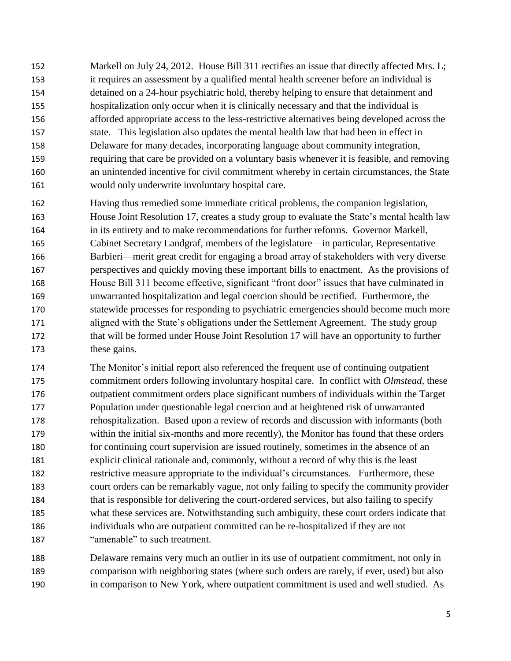152 Markell on July 24, 2012. House Bill 311 rectifies an issue that directly affected Mrs. L; it requires an assessment by a qualified mental health screener before an individual is detained on a 24-hour psychiatric hold, thereby helping to ensure that detainment and hospitalization only occur when it is clinically necessary and that the individual is afforded appropriate access to the less-restrictive alternatives being developed across the state. This legislation also updates the mental health law that had been in effect in Delaware for many decades, incorporating language about community integration, requiring that care be provided on a voluntary basis whenever it is feasible, and removing an unintended incentive for civil commitment whereby in certain circumstances, the State would only underwrite involuntary hospital care.

 Having thus remedied some immediate critical problems, the companion legislation, House Joint Resolution 17, creates a study group to evaluate the State's mental health law in its entirety and to make recommendations for further reforms. Governor Markell, Cabinet Secretary Landgraf, members of the legislature—in particular, Representative Barbieri—merit great credit for engaging a broad array of stakeholders with very diverse perspectives and quickly moving these important bills to enactment. As the provisions of House Bill 311 become effective, significant "front door" issues that have culminated in unwarranted hospitalization and legal coercion should be rectified. Furthermore, the statewide processes for responding to psychiatric emergencies should become much more aligned with the State's obligations under the Settlement Agreement. The study group that will be formed under House Joint Resolution 17 will have an opportunity to further these gains.

 The Monitor's initial report also referenced the frequent use of continuing outpatient commitment orders following involuntary hospital care. In conflict with *Olmstead,* these outpatient commitment orders place significant numbers of individuals within the Target Population under questionable legal coercion and at heightened risk of unwarranted rehospitalization. Based upon a review of records and discussion with informants (both within the initial six-months and more recently), the Monitor has found that these orders for continuing court supervision are issued routinely, sometimes in the absence of an explicit clinical rationale and, commonly, without a record of why this is the least restrictive measure appropriate to the individual's circumstances. Furthermore, these court orders can be remarkably vague, not only failing to specify the community provider that is responsible for delivering the court-ordered services, but also failing to specify what these services are. Notwithstanding such ambiguity, these court orders indicate that individuals who are outpatient committed can be re-hospitalized if they are not "amenable" to such treatment.

 Delaware remains very much an outlier in its use of outpatient commitment, not only in comparison with neighboring states (where such orders are rarely, if ever, used) but also in comparison to New York, where outpatient commitment is used and well studied. As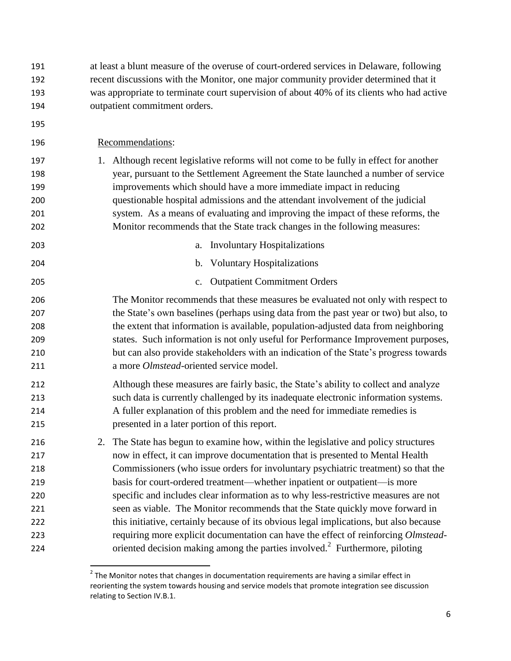| 191 | at least a blunt measure of the overuse of court-ordered services in Delaware, following  |  |
|-----|-------------------------------------------------------------------------------------------|--|
| 192 | recent discussions with the Monitor, one major community provider determined that it      |  |
| 193 | was appropriate to terminate court supervision of about 40% of its clients who had active |  |
| 194 | outpatient commitment orders.                                                             |  |
| 195 |                                                                                           |  |
| 196 | Recommendations:                                                                          |  |
| 197 | Although recent legislative reforms will not come to be fully in effect for another<br>1. |  |
| 198 | year, pursuant to the Settlement Agreement the State launched a number of service         |  |
| 199 | improvements which should have a more immediate impact in reducing                        |  |
| 200 | questionable hospital admissions and the attendant involvement of the judicial            |  |
| 201 | system. As a means of evaluating and improving the impact of these reforms, the           |  |
| 202 | Monitor recommends that the State track changes in the following measures:                |  |
| 203 | <b>Involuntary Hospitalizations</b><br>a.                                                 |  |
| 204 | b. Voluntary Hospitalizations                                                             |  |
| 205 | c. Outpatient Commitment Orders                                                           |  |
| 206 | The Monitor recommends that these measures be evaluated not only with respect to          |  |
| 207 | the State's own baselines (perhaps using data from the past year or two) but also, to     |  |
| 208 | the extent that information is available, population-adjusted data from neighboring       |  |
| 209 | states. Such information is not only useful for Performance Improvement purposes,         |  |
| 210 | but can also provide stakeholders with an indication of the State's progress towards      |  |
| 211 | a more Olmstead-oriented service model.                                                   |  |
| 212 | Although these measures are fairly basic, the State's ability to collect and analyze      |  |
| 213 | such data is currently challenged by its inadequate electronic information systems.       |  |
| 214 | A fuller explanation of this problem and the need for immediate remedies is               |  |
| 215 | presented in a later portion of this report.                                              |  |
| 216 | The State has begun to examine how, within the legislative and policy structures<br>2.    |  |
| 217 | now in effect, it can improve documentation that is presented to Mental Health            |  |
| 218 | Commissioners (who issue orders for involuntary psychiatric treatment) so that the        |  |
| 219 | basis for court-ordered treatment—whether inpatient or outpatient—is more                 |  |
| 220 | specific and includes clear information as to why less-restrictive measures are not       |  |
| 221 | seen as viable. The Monitor recommends that the State quickly move forward in             |  |
| 222 | this initiative, certainly because of its obvious legal implications, but also because    |  |
| 223 | requiring more explicit documentation can have the effect of reinforcing Olmstead-        |  |
| 224 | oriented decision making among the parties involved. <sup>2</sup> Furthermore, piloting   |  |

**The Monitor notes that changes in documentation requirements are having a similar effect in** reorienting the system towards housing and service models that promote integration see discussion relating to Section IV.B.1.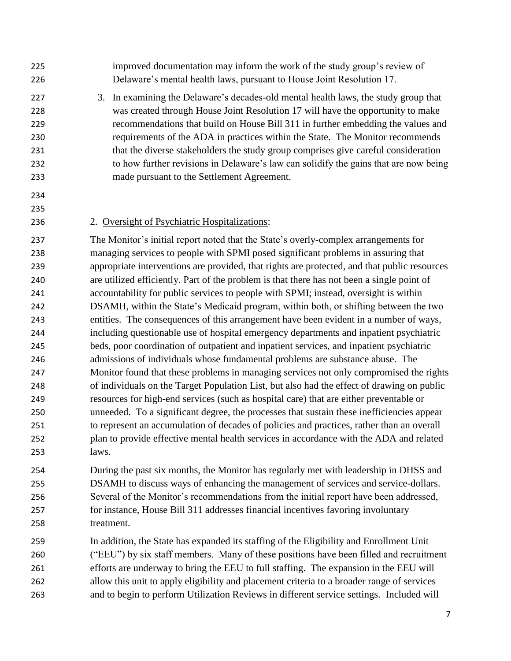Delaware's mental health laws, pursuant to House Joint Resolution 17. 3. In examining the Delaware's decades-old mental health laws, the study group that was created through House Joint Resolution 17 will have the opportunity to make recommendations that build on House Bill 311 in further embedding the values and requirements of the ADA in practices within the State. The Monitor recommends that the diverse stakeholders the study group comprises give careful consideration to how further revisions in Delaware's law can solidify the gains that are now being made pursuant to the Settlement Agreement.

improved documentation may inform the work of the study group's review of

- 
- 2. Oversight of Psychiatric Hospitalizations:

 The Monitor's initial report noted that the State's overly-complex arrangements for managing services to people with SPMI posed significant problems in assuring that appropriate interventions are provided, that rights are protected, and that public resources are utilized efficiently. Part of the problem is that there has not been a single point of accountability for public services to people with SPMI; instead, oversight is within DSAMH, within the State's Medicaid program, within both, or shifting between the two entities. The consequences of this arrangement have been evident in a number of ways, including questionable use of hospital emergency departments and inpatient psychiatric beds, poor coordination of outpatient and inpatient services, and inpatient psychiatric admissions of individuals whose fundamental problems are substance abuse. The Monitor found that these problems in managing services not only compromised the rights of individuals on the Target Population List, but also had the effect of drawing on public resources for high-end services (such as hospital care) that are either preventable or unneeded. To a significant degree, the processes that sustain these inefficiencies appear to represent an accumulation of decades of policies and practices, rather than an overall plan to provide effective mental health services in accordance with the ADA and related laws.

 During the past six months, the Monitor has regularly met with leadership in DHSS and DSAMH to discuss ways of enhancing the management of services and service-dollars. Several of the Monitor's recommendations from the initial report have been addressed, for instance, House Bill 311 addresses financial incentives favoring involuntary treatment.

 In addition, the State has expanded its staffing of the Eligibility and Enrollment Unit ("EEU") by six staff members. Many of these positions have been filled and recruitment efforts are underway to bring the EEU to full staffing. The expansion in the EEU will allow this unit to apply eligibility and placement criteria to a broader range of services and to begin to perform Utilization Reviews in different service settings. Included will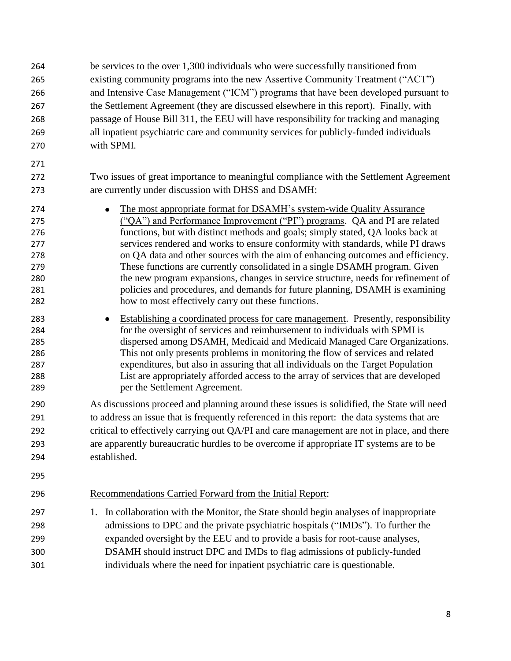be services to the over 1,300 individuals who were successfully transitioned from existing community programs into the new Assertive Community Treatment ("ACT") and Intensive Case Management ("ICM") programs that have been developed pursuant to the Settlement Agreement (they are discussed elsewhere in this report). Finally, with passage of House Bill 311, the EEU will have responsibility for tracking and managing all inpatient psychiatric care and community services for publicly-funded individuals with SPMI. Two issues of great importance to meaningful compliance with the Settlement Agreement are currently under discussion with DHSS and DSAMH: 274 • The most appropriate format for DSAMH's system-wide Quality Assurance ("QA") and Performance Improvement ("PI") programs. QA and PI are related functions, but with distinct methods and goals; simply stated, QA looks back at services rendered and works to ensure conformity with standards, while PI draws on QA data and other sources with the aim of enhancing outcomes and efficiency. These functions are currently consolidated in a single DSAMH program. Given the new program expansions, changes in service structure, needs for refinement of policies and procedures, and demands for future planning, DSAMH is examining how to most effectively carry out these functions. Establishing a coordinated process for care management. Presently, responsibility for the oversight of services and reimbursement to individuals with SPMI is dispersed among DSAMH, Medicaid and Medicaid Managed Care Organizations. This not only presents problems in monitoring the flow of services and related expenditures, but also in assuring that all individuals on the Target Population List are appropriately afforded access to the array of services that are developed per the Settlement Agreement. As discussions proceed and planning around these issues is solidified, the State will need to address an issue that is frequently referenced in this report: the data systems that are critical to effectively carrying out QA/PI and care management are not in place, and there are apparently bureaucratic hurdles to be overcome if appropriate IT systems are to be established. Recommendations Carried Forward from the Initial Report: 1. In collaboration with the Monitor, the State should begin analyses of inappropriate admissions to DPC and the private psychiatric hospitals ("IMDs"). To further the expanded oversight by the EEU and to provide a basis for root-cause analyses, DSAMH should instruct DPC and IMDs to flag admissions of publicly-funded individuals where the need for inpatient psychiatric care is questionable.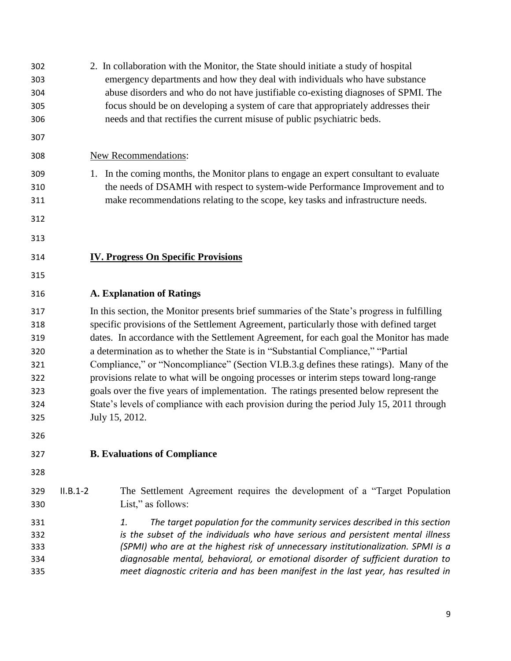| 302<br>303<br>304<br>305<br>306                             | 2. In collaboration with the Monitor, the State should initiate a study of hospital<br>emergency departments and how they deal with individuals who have substance<br>abuse disorders and who do not have justifiable co-existing diagnoses of SPMI. The<br>focus should be on developing a system of care that appropriately addresses their<br>needs and that rectifies the current misuse of public psychiatric beds.                                                                                                                                                                                                                                                                                                                                        |  |  |  |
|-------------------------------------------------------------|-----------------------------------------------------------------------------------------------------------------------------------------------------------------------------------------------------------------------------------------------------------------------------------------------------------------------------------------------------------------------------------------------------------------------------------------------------------------------------------------------------------------------------------------------------------------------------------------------------------------------------------------------------------------------------------------------------------------------------------------------------------------|--|--|--|
| 307                                                         |                                                                                                                                                                                                                                                                                                                                                                                                                                                                                                                                                                                                                                                                                                                                                                 |  |  |  |
| 308                                                         | <b>New Recommendations:</b>                                                                                                                                                                                                                                                                                                                                                                                                                                                                                                                                                                                                                                                                                                                                     |  |  |  |
| 309<br>310<br>311                                           | 1. In the coming months, the Monitor plans to engage an expert consultant to evaluate<br>the needs of DSAMH with respect to system-wide Performance Improvement and to<br>make recommendations relating to the scope, key tasks and infrastructure needs.                                                                                                                                                                                                                                                                                                                                                                                                                                                                                                       |  |  |  |
| 312                                                         |                                                                                                                                                                                                                                                                                                                                                                                                                                                                                                                                                                                                                                                                                                                                                                 |  |  |  |
| 313                                                         |                                                                                                                                                                                                                                                                                                                                                                                                                                                                                                                                                                                                                                                                                                                                                                 |  |  |  |
| 314                                                         | <b>IV. Progress On Specific Provisions</b>                                                                                                                                                                                                                                                                                                                                                                                                                                                                                                                                                                                                                                                                                                                      |  |  |  |
| 315                                                         |                                                                                                                                                                                                                                                                                                                                                                                                                                                                                                                                                                                                                                                                                                                                                                 |  |  |  |
| 316                                                         | <b>A. Explanation of Ratings</b>                                                                                                                                                                                                                                                                                                                                                                                                                                                                                                                                                                                                                                                                                                                                |  |  |  |
| 317<br>318<br>319<br>320<br>321<br>322<br>323<br>324<br>325 | In this section, the Monitor presents brief summaries of the State's progress in fulfilling<br>specific provisions of the Settlement Agreement, particularly those with defined target<br>dates. In accordance with the Settlement Agreement, for each goal the Monitor has made<br>a determination as to whether the State is in "Substantial Compliance," "Partial<br>Compliance," or "Noncompliance" (Section VI.B.3.g defines these ratings). Many of the<br>provisions relate to what will be ongoing processes or interim steps toward long-range<br>goals over the five years of implementation. The ratings presented below represent the<br>State's levels of compliance with each provision during the period July 15, 2011 through<br>July 15, 2012. |  |  |  |
| 326                                                         |                                                                                                                                                                                                                                                                                                                                                                                                                                                                                                                                                                                                                                                                                                                                                                 |  |  |  |
| 327                                                         | <b>B.</b> Evaluations of Compliance                                                                                                                                                                                                                                                                                                                                                                                                                                                                                                                                                                                                                                                                                                                             |  |  |  |
| 328                                                         |                                                                                                                                                                                                                                                                                                                                                                                                                                                                                                                                                                                                                                                                                                                                                                 |  |  |  |
| 329<br>330                                                  | The Settlement Agreement requires the development of a "Target Population"<br>$II.B.1-2$<br>List," as follows:                                                                                                                                                                                                                                                                                                                                                                                                                                                                                                                                                                                                                                                  |  |  |  |
| 331<br>332<br>333<br>334<br>335                             | The target population for the community services described in this section<br>1.<br>is the subset of the individuals who have serious and persistent mental illness<br>(SPMI) who are at the highest risk of unnecessary institutionalization. SPMI is a<br>diagnosable mental, behavioral, or emotional disorder of sufficient duration to<br>meet diagnostic criteria and has been manifest in the last year, has resulted in                                                                                                                                                                                                                                                                                                                                 |  |  |  |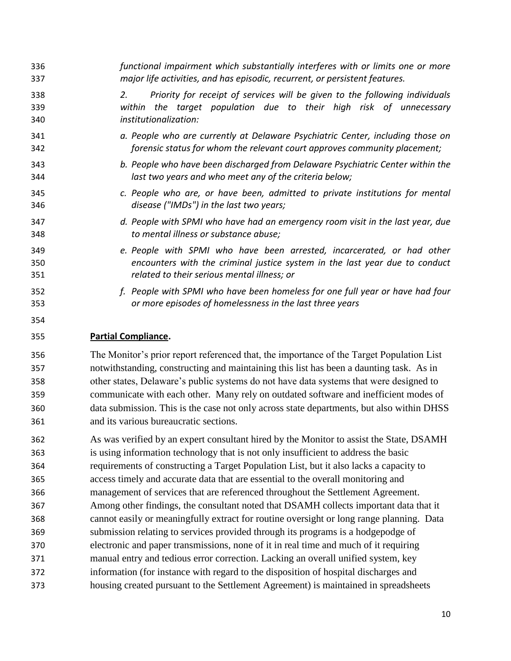| 336               | functional impairment which substantially interferes with or limits one or more                                                                                                            |
|-------------------|--------------------------------------------------------------------------------------------------------------------------------------------------------------------------------------------|
| 337               | major life activities, and has episodic, recurrent, or persistent features.                                                                                                                |
| 338<br>339<br>340 | Priority for receipt of services will be given to the following individuals<br>2.<br>the target population due to their high risk of unnecessary<br>within<br><i>institutionalization:</i> |
| 341               | a. People who are currently at Delaware Psychiatric Center, including those on                                                                                                             |
| 342               | forensic status for whom the relevant court approves community placement;                                                                                                                  |
| 343               | b. People who have been discharged from Delaware Psychiatric Center within the                                                                                                             |
| 344               | last two years and who meet any of the criteria below;                                                                                                                                     |
| 345               | c. People who are, or have been, admitted to private institutions for mental                                                                                                               |
| 346               | disease ("IMDs") in the last two years;                                                                                                                                                    |
| 347               | d. People with SPMI who have had an emergency room visit in the last year, due                                                                                                             |
| 348               | to mental illness or substance abuse;                                                                                                                                                      |
| 349               | e. People with SPMI who have been arrested, incarcerated, or had other                                                                                                                     |
| 350               | encounters with the criminal justice system in the last year due to conduct                                                                                                                |
| 351               | related to their serious mental illness; or                                                                                                                                                |
| 352               | f. People with SPMI who have been homeless for one full year or have had four                                                                                                              |
| 353               | or more episodes of homelessness in the last three years                                                                                                                                   |
| 354               |                                                                                                                                                                                            |
| 355               | <b>Partial Compliance.</b>                                                                                                                                                                 |
| n r c             | The Menitor's prior researt referenced that the incremence of the Terret Depulsion List                                                                                                    |

 The Monitor's prior report referenced that, the importance of the Target Population List notwithstanding, constructing and maintaining this list has been a daunting task. As in other states, Delaware's public systems do not have data systems that were designed to communicate with each other. Many rely on outdated software and inefficient modes of data submission. This is the case not only across state departments, but also within DHSS and its various bureaucratic sections.

 As was verified by an expert consultant hired by the Monitor to assist the State, DSAMH is using information technology that is not only insufficient to address the basic requirements of constructing a Target Population List, but it also lacks a capacity to access timely and accurate data that are essential to the overall monitoring and management of services that are referenced throughout the Settlement Agreement. Among other findings, the consultant noted that DSAMH collects important data that it cannot easily or meaningfully extract for routine oversight or long range planning. Data submission relating to services provided through its programs is a hodgepodge of electronic and paper transmissions, none of it in real time and much of it requiring manual entry and tedious error correction. Lacking an overall unified system, key information (for instance with regard to the disposition of hospital discharges and housing created pursuant to the Settlement Agreement) is maintained in spreadsheets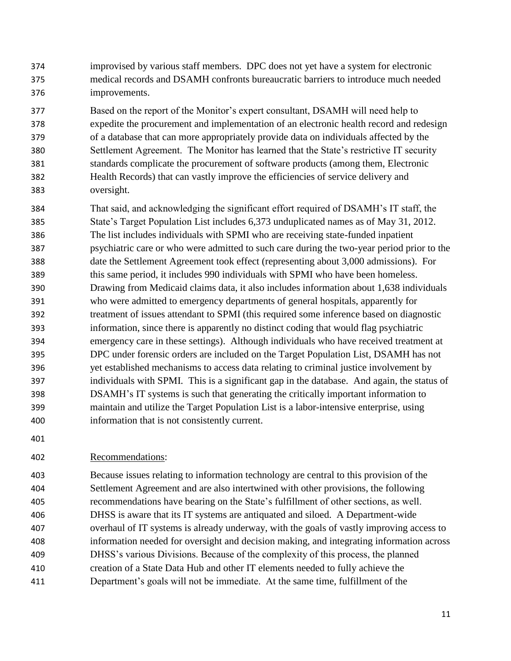- improvised by various staff members. DPC does not yet have a system for electronic medical records and DSAMH confronts bureaucratic barriers to introduce much needed improvements.
- Based on the report of the Monitor's expert consultant, DSAMH will need help to expedite the procurement and implementation of an electronic health record and redesign of a database that can more appropriately provide data on individuals affected by the Settlement Agreement. The Monitor has learned that the State's restrictive IT security standards complicate the procurement of software products (among them, Electronic Health Records) that can vastly improve the efficiencies of service delivery and oversight.
- That said, and acknowledging the significant effort required of DSAMH's IT staff, the State's Target Population List includes 6,373 unduplicated names as of May 31, 2012. The list includes individuals with SPMI who are receiving state-funded inpatient psychiatric care or who were admitted to such care during the two-year period prior to the date the Settlement Agreement took effect (representing about 3,000 admissions). For this same period, it includes 990 individuals with SPMI who have been homeless. Drawing from Medicaid claims data, it also includes information about 1,638 individuals who were admitted to emergency departments of general hospitals, apparently for treatment of issues attendant to SPMI (this required some inference based on diagnostic information, since there is apparently no distinct coding that would flag psychiatric emergency care in these settings). Although individuals who have received treatment at DPC under forensic orders are included on the Target Population List, DSAMH has not yet established mechanisms to access data relating to criminal justice involvement by individuals with SPMI. This is a significant gap in the database. And again, the status of DSAMH's IT systems is such that generating the critically important information to maintain and utilize the Target Population List is a labor-intensive enterprise, using information that is not consistently current.
- 

## Recommendations:

 Because issues relating to information technology are central to this provision of the Settlement Agreement and are also intertwined with other provisions, the following recommendations have bearing on the State's fulfillment of other sections, as well. DHSS is aware that its IT systems are antiquated and siloed. A Department-wide overhaul of IT systems is already underway, with the goals of vastly improving access to information needed for oversight and decision making, and integrating information across DHSS's various Divisions. Because of the complexity of this process, the planned creation of a State Data Hub and other IT elements needed to fully achieve the Department's goals will not be immediate. At the same time, fulfillment of the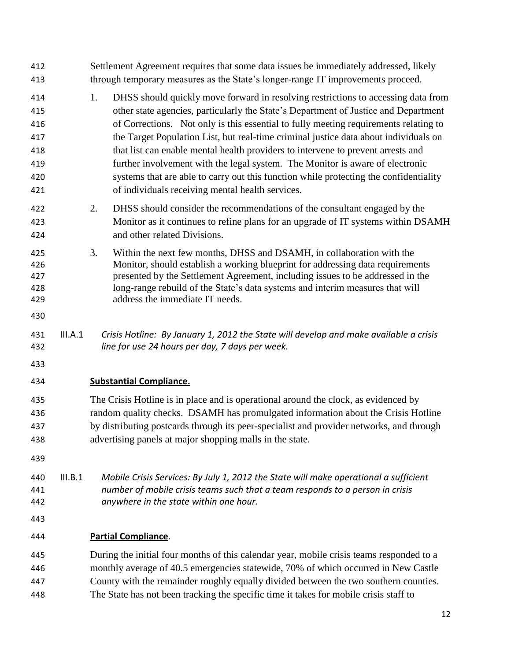| 412<br>413                                           |         | Settlement Agreement requires that some data issues be immediately addressed, likely<br>through temporary measures as the State's longer-range IT improvements proceed.                                                                                                                                                                                                                                                                                                                                                                                                                                                                                                          |  |  |  |  |
|------------------------------------------------------|---------|----------------------------------------------------------------------------------------------------------------------------------------------------------------------------------------------------------------------------------------------------------------------------------------------------------------------------------------------------------------------------------------------------------------------------------------------------------------------------------------------------------------------------------------------------------------------------------------------------------------------------------------------------------------------------------|--|--|--|--|
| 414<br>415<br>416<br>417<br>418<br>419<br>420<br>421 |         | DHSS should quickly move forward in resolving restrictions to accessing data from<br>1.<br>other state agencies, particularly the State's Department of Justice and Department<br>of Corrections. Not only is this essential to fully meeting requirements relating to<br>the Target Population List, but real-time criminal justice data about individuals on<br>that list can enable mental health providers to intervene to prevent arrests and<br>further involvement with the legal system. The Monitor is aware of electronic<br>systems that are able to carry out this function while protecting the confidentiality<br>of individuals receiving mental health services. |  |  |  |  |
| 422<br>423<br>424                                    |         | 2.<br>DHSS should consider the recommendations of the consultant engaged by the<br>Monitor as it continues to refine plans for an upgrade of IT systems within DSAMH<br>and other related Divisions.                                                                                                                                                                                                                                                                                                                                                                                                                                                                             |  |  |  |  |
| 425<br>426<br>427<br>428<br>429                      |         | 3.<br>Within the next few months, DHSS and DSAMH, in collaboration with the<br>Monitor, should establish a working blueprint for addressing data requirements<br>presented by the Settlement Agreement, including issues to be addressed in the<br>long-range rebuild of the State's data systems and interim measures that will<br>address the immediate IT needs.                                                                                                                                                                                                                                                                                                              |  |  |  |  |
| 430                                                  |         |                                                                                                                                                                                                                                                                                                                                                                                                                                                                                                                                                                                                                                                                                  |  |  |  |  |
| 431<br>432                                           | III.A.1 | Crisis Hotline: By January 1, 2012 the State will develop and make available a crisis<br>line for use 24 hours per day, 7 days per week.                                                                                                                                                                                                                                                                                                                                                                                                                                                                                                                                         |  |  |  |  |
| 433                                                  |         |                                                                                                                                                                                                                                                                                                                                                                                                                                                                                                                                                                                                                                                                                  |  |  |  |  |
| 434                                                  |         | <b>Substantial Compliance.</b>                                                                                                                                                                                                                                                                                                                                                                                                                                                                                                                                                                                                                                                   |  |  |  |  |
| 435<br>436<br>437<br>438                             |         | The Crisis Hotline is in place and is operational around the clock, as evidenced by<br>random quality checks. DSAMH has promulgated information about the Crisis Hotline<br>by distributing postcards through its peer-specialist and provider networks, and through<br>advertising panels at major shopping malls in the state.                                                                                                                                                                                                                                                                                                                                                 |  |  |  |  |
| 439                                                  |         |                                                                                                                                                                                                                                                                                                                                                                                                                                                                                                                                                                                                                                                                                  |  |  |  |  |
| 440<br>441<br>442                                    | III.B.1 | Mobile Crisis Services: By July 1, 2012 the State will make operational a sufficient<br>number of mobile crisis teams such that a team responds to a person in crisis<br>anywhere in the state within one hour.                                                                                                                                                                                                                                                                                                                                                                                                                                                                  |  |  |  |  |
| 443                                                  |         |                                                                                                                                                                                                                                                                                                                                                                                                                                                                                                                                                                                                                                                                                  |  |  |  |  |
| 444                                                  |         | <b>Partial Compliance.</b>                                                                                                                                                                                                                                                                                                                                                                                                                                                                                                                                                                                                                                                       |  |  |  |  |
| 445<br>446<br>447                                    |         | During the initial four months of this calendar year, mobile crisis teams responded to a<br>monthly average of 40.5 emergencies statewide, 70% of which occurred in New Castle<br>County with the remainder roughly equally divided between the two southern counties.                                                                                                                                                                                                                                                                                                                                                                                                           |  |  |  |  |
| 448                                                  |         | The State has not been tracking the specific time it takes for mobile crisis staff to                                                                                                                                                                                                                                                                                                                                                                                                                                                                                                                                                                                            |  |  |  |  |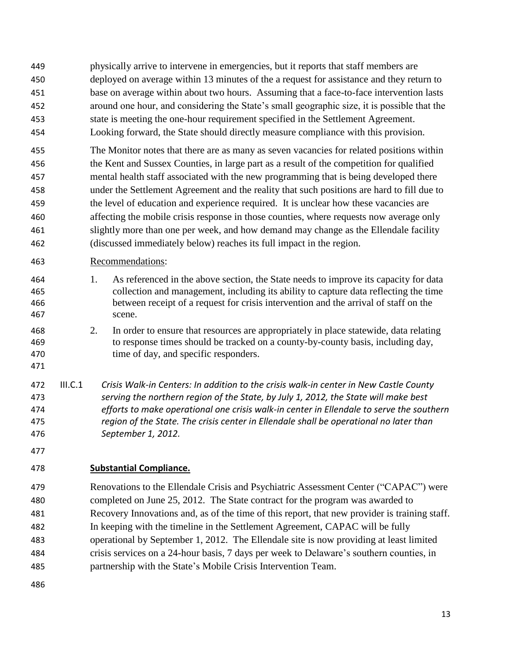- physically arrive to intervene in emergencies, but it reports that staff members are deployed on average within 13 minutes of the a request for assistance and they return to base on average within about two hours. Assuming that a face-to-face intervention lasts around one hour, and considering the State's small geographic size, it is possible that the state is meeting the one-hour requirement specified in the Settlement Agreement.
- Looking forward, the State should directly measure compliance with this provision.
- The Monitor notes that there are as many as seven vacancies for related positions within the Kent and Sussex Counties, in large part as a result of the competition for qualified mental health staff associated with the new programming that is being developed there under the Settlement Agreement and the reality that such positions are hard to fill due to the level of education and experience required. It is unclear how these vacancies are affecting the mobile crisis response in those counties, where requests now average only slightly more than one per week, and how demand may change as the Ellendale facility (discussed immediately below) reaches its full impact in the region.

## Recommendations:

- 1. As referenced in the above section, the State needs to improve its capacity for data collection and management, including its ability to capture data reflecting the time between receipt of a request for crisis intervention and the arrival of staff on the scene.
- 2. In order to ensure that resources are appropriately in place statewide, data relating to response times should be tracked on a county-by-county basis, including day, 470 time of day, and specific responders.
- 
- III.C.1 *Crisis Walk-in Centers: In addition to the crisis walk-in center in New Castle County serving the northern region of the State, by July 1, 2012, the State will make best efforts to make operational one crisis walk-in center in Ellendale to serve the southern region of the State. The crisis center in Ellendale shall be operational no later than September 1, 2012.*
- 

# **Substantial Compliance.**

 Renovations to the Ellendale Crisis and Psychiatric Assessment Center ("CAPAC") were completed on June 25, 2012. The State contract for the program was awarded to Recovery Innovations and, as of the time of this report, that new provider is training staff. In keeping with the timeline in the Settlement Agreement, CAPAC will be fully operational by September 1, 2012. The Ellendale site is now providing at least limited crisis services on a 24-hour basis, 7 days per week to Delaware's southern counties, in partnership with the State's Mobile Crisis Intervention Team.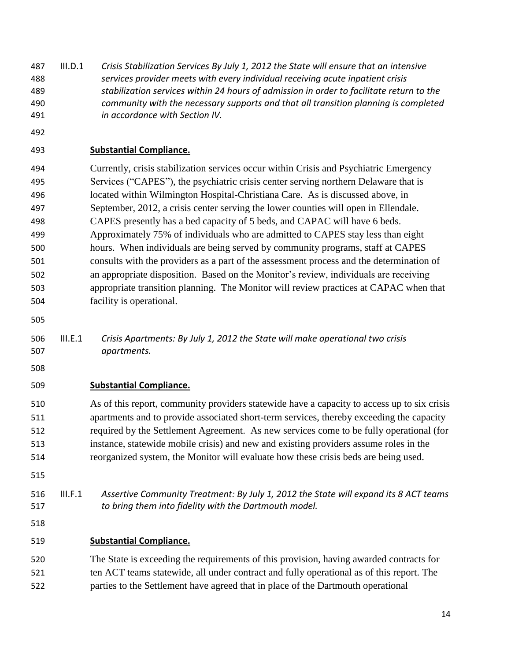III.D.1 *Crisis Stabilization Services By July 1, 2012 the State will ensure that an intensive services provider meets with every individual receiving acute inpatient crisis stabilization services within 24 hours of admission in order to facilitate return to the community with the necessary supports and that all transition planning is completed in accordance with Section IV.*

## **Substantial Compliance.**

 Currently, crisis stabilization services occur within Crisis and Psychiatric Emergency Services ("CAPES"), the psychiatric crisis center serving northern Delaware that is located within Wilmington Hospital-Christiana Care. As is discussed above, in September, 2012, a crisis center serving the lower counties will open in Ellendale. CAPES presently has a bed capacity of 5 beds, and CAPAC will have 6 beds. Approximately 75% of individuals who are admitted to CAPES stay less than eight hours. When individuals are being served by community programs, staff at CAPES consults with the providers as a part of the assessment process and the determination of an appropriate disposition. Based on the Monitor's review, individuals are receiving appropriate transition planning. The Monitor will review practices at CAPAC when that facility is operational.

- 
- III.E.1 *Crisis Apartments: By July 1, 2012 the State will make operational two crisis apartments.*
- 

## **Substantial Compliance.**

 As of this report, community providers statewide have a capacity to access up to six crisis apartments and to provide associated short-term services, thereby exceeding the capacity required by the Settlement Agreement. As new services come to be fully operational (for instance, statewide mobile crisis) and new and existing providers assume roles in the reorganized system, the Monitor will evaluate how these crisis beds are being used.

#### III.F.1 *Assertive Community Treatment: By July 1, 2012 the State will expand its 8 ACT teams to bring them into fidelity with the Dartmouth model.*

## **Substantial Compliance.**

 The State is exceeding the requirements of this provision, having awarded contracts for 521 ten ACT teams statewide, all under contract and fully operational as of this report. The parties to the Settlement have agreed that in place of the Dartmouth operational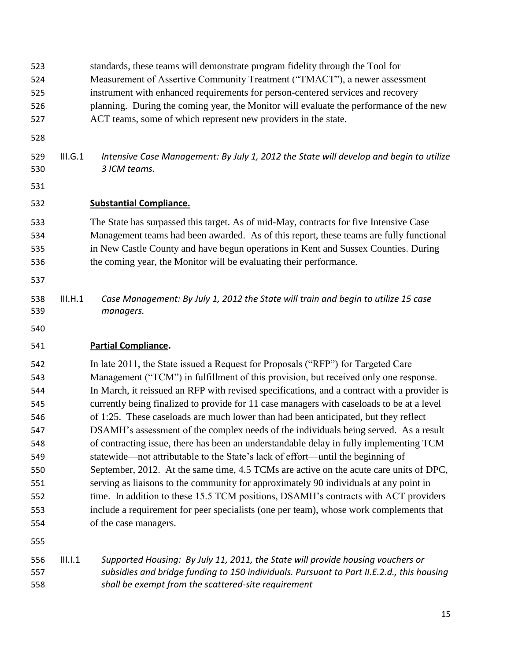- standards, these teams will demonstrate program fidelity through the Tool for
- Measurement of Assertive Community Treatment ("TMACT"), a newer assessment
- instrument with enhanced requirements for person-centered services and recovery
- planning. During the coming year, the Monitor will evaluate the performance of the new
- ACT teams, some of which represent new providers in the state.
- 
- III.G.1 *Intensive Case Management: By July 1, 2012 the State will develop and begin to utilize 3 ICM teams.*
- 

#### **Substantial Compliance.**

 The State has surpassed this target. As of mid-May, contracts for five Intensive Case Management teams had been awarded. As of this report, these teams are fully functional in New Castle County and have begun operations in Kent and Sussex Counties. During the coming year, the Monitor will be evaluating their performance.

- 
- III.H.1 *Case Management: By July 1, 2012 the State will train and begin to utilize 15 case managers.*
- 

## **Partial Compliance.**

 In late 2011, the State issued a Request for Proposals ("RFP") for Targeted Care Management ("TCM") in fulfillment of this provision, but received only one response. In March, it reissued an RFP with revised specifications, and a contract with a provider is currently being finalized to provide for 11 case managers with caseloads to be at a level of 1:25. These caseloads are much lower than had been anticipated, but they reflect DSAMH's assessment of the complex needs of the individuals being served. As a result of contracting issue, there has been an understandable delay in fully implementing TCM statewide—not attributable to the State's lack of effort—until the beginning of September, 2012. At the same time, 4.5 TCMs are active on the acute care units of DPC, serving as liaisons to the community for approximately 90 individuals at any point in 552 time. In addition to these 15.5 TCM positions, DSAMH's contracts with ACT providers include a requirement for peer specialists (one per team), whose work complements that of the case managers.

 III.I.1 *Supported Housing: By July 11, 2011, the State will provide housing vouchers or subsidies and bridge funding to 150 individuals. Pursuant to Part II.E.2.d., this housing shall be exempt from the scattered-site requirement*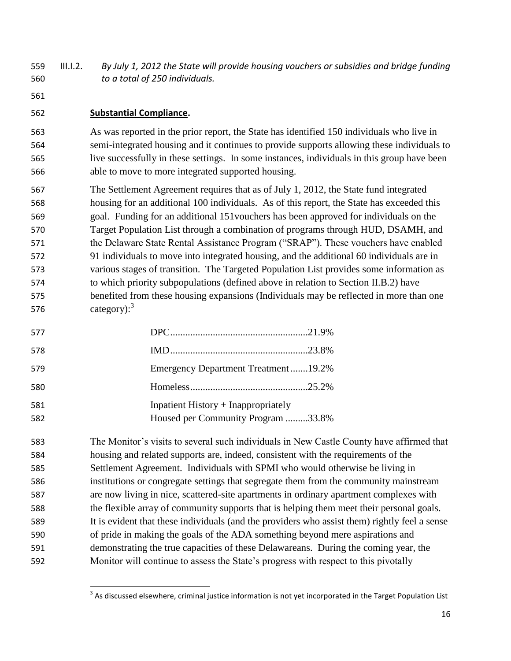- III.I.2. *By July 1, 2012 the State will provide housing vouchers or subsidies and bridge funding to a total of 250 individuals.*
- 

## **Substantial Compliance.**

 As was reported in the prior report, the State has identified 150 individuals who live in semi-integrated housing and it continues to provide supports allowing these individuals to live successfully in these settings. In some instances, individuals in this group have been able to move to more integrated supported housing.

 The Settlement Agreement requires that as of July 1, 2012, the State fund integrated housing for an additional 100 individuals. As of this report, the State has exceeded this goal. Funding for an additional 151vouchers has been approved for individuals on the Target Population List through a combination of programs through HUD, DSAMH, and the Delaware State Rental Assistance Program ("SRAP"). These vouchers have enabled 91 individuals to move into integrated housing, and the additional 60 individuals are in various stages of transition. The Targeted Population List provides some information as to which priority subpopulations (defined above in relation to Section II.B.2) have benefited from these housing expansions (Individuals may be reflected in more than one category):

| 577        |                                                                             |  |
|------------|-----------------------------------------------------------------------------|--|
| 578        |                                                                             |  |
| 579        | Emergency Department Treatment19.2%                                         |  |
| 580        |                                                                             |  |
| 581<br>582 | Inpatient History $+$ Inappropriately<br>Housed per Community Program 33.8% |  |
|            |                                                                             |  |

 The Monitor's visits to several such individuals in New Castle County have affirmed that housing and related supports are, indeed, consistent with the requirements of the Settlement Agreement. Individuals with SPMI who would otherwise be living in institutions or congregate settings that segregate them from the community mainstream are now living in nice, scattered-site apartments in ordinary apartment complexes with the flexible array of community supports that is helping them meet their personal goals. It is evident that these individuals (and the providers who assist them) rightly feel a sense of pride in making the goals of the ADA something beyond mere aspirations and demonstrating the true capacities of these Delawareans. During the coming year, the Monitor will continue to assess the State's progress with respect to this pivotally

**As discussed elsewhere, criminal justice information is not yet incorporated in the Target Population List**<br>As discussed elsewhere, criminal justice information is not yet incorporated in the Target Population List<sup>3</sup>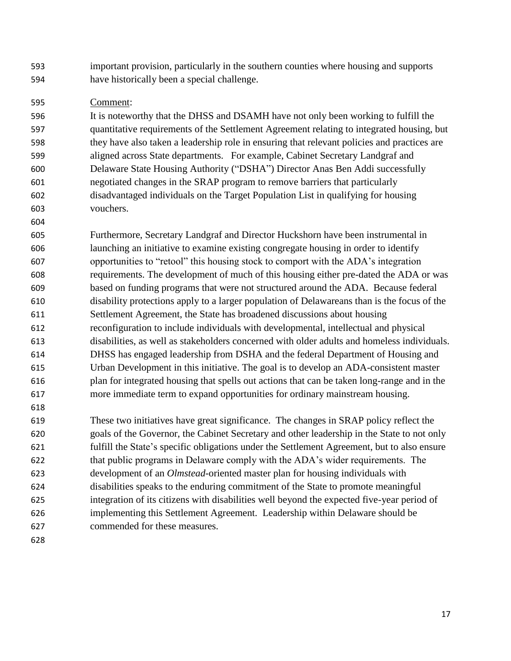important provision, particularly in the southern counties where housing and supports have historically been a special challenge.

#### Comment:

 It is noteworthy that the DHSS and DSAMH have not only been working to fulfill the quantitative requirements of the Settlement Agreement relating to integrated housing, but they have also taken a leadership role in ensuring that relevant policies and practices are aligned across State departments. For example, Cabinet Secretary Landgraf and Delaware State Housing Authority ("DSHA") Director Anas Ben Addi successfully negotiated changes in the SRAP program to remove barriers that particularly disadvantaged individuals on the Target Population List in qualifying for housing vouchers.

 Furthermore, Secretary Landgraf and Director Huckshorn have been instrumental in launching an initiative to examine existing congregate housing in order to identify opportunities to "retool" this housing stock to comport with the ADA's integration requirements. The development of much of this housing either pre-dated the ADA or was based on funding programs that were not structured around the ADA. Because federal disability protections apply to a larger population of Delawareans than is the focus of the Settlement Agreement, the State has broadened discussions about housing reconfiguration to include individuals with developmental, intellectual and physical disabilities, as well as stakeholders concerned with older adults and homeless individuals. DHSS has engaged leadership from DSHA and the federal Department of Housing and Urban Development in this initiative. The goal is to develop an ADA-consistent master plan for integrated housing that spells out actions that can be taken long-range and in the more immediate term to expand opportunities for ordinary mainstream housing.

 These two initiatives have great significance. The changes in SRAP policy reflect the goals of the Governor, the Cabinet Secretary and other leadership in the State to not only fulfill the State's specific obligations under the Settlement Agreement, but to also ensure that public programs in Delaware comply with the ADA's wider requirements. The development of an *Olmstead*-oriented master plan for housing individuals with disabilities speaks to the enduring commitment of the State to promote meaningful integration of its citizens with disabilities well beyond the expected five-year period of implementing this Settlement Agreement. Leadership within Delaware should be commended for these measures.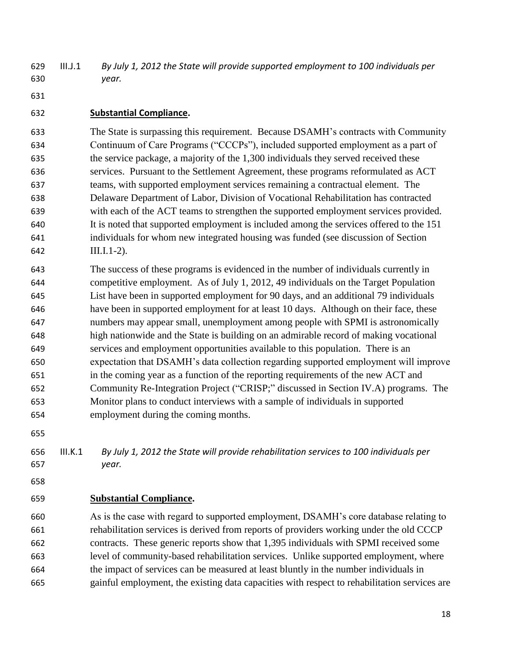- III.J.1 *By July 1, 2012 the State will provide supported employment to 100 individuals per year.*
- 

# **Substantial Compliance.**

 The State is surpassing this requirement. Because DSAMH's contracts with Community Continuum of Care Programs ("CCCPs"), included supported employment as a part of the service package, a majority of the 1,300 individuals they served received these services. Pursuant to the Settlement Agreement, these programs reformulated as ACT teams, with supported employment services remaining a contractual element. The Delaware Department of Labor, Division of Vocational Rehabilitation has contracted with each of the ACT teams to strengthen the supported employment services provided. It is noted that supported employment is included among the services offered to the 151 individuals for whom new integrated housing was funded (see discussion of Section III.I.1-2).

- The success of these programs is evidenced in the number of individuals currently in competitive employment. As of July 1, 2012, 49 individuals on the Target Population List have been in supported employment for 90 days, and an additional 79 individuals have been in supported employment for at least 10 days. Although on their face, these numbers may appear small, unemployment among people with SPMI is astronomically high nationwide and the State is building on an admirable record of making vocational services and employment opportunities available to this population. There is an expectation that DSAMH's data collection regarding supported employment will improve in the coming year as a function of the reporting requirements of the new ACT and Community Re-Integration Project ("CRISP;" discussed in Section IV.A) programs. The Monitor plans to conduct interviews with a sample of individuals in supported employment during the coming months.
- 

 III.K.1 *By July 1, 2012 the State will provide rehabilitation services to 100 individuals per year.*

## **Substantial Compliance.**

 As is the case with regard to supported employment, DSAMH's core database relating to rehabilitation services is derived from reports of providers working under the old CCCP contracts. These generic reports show that 1,395 individuals with SPMI received some level of community-based rehabilitation services. Unlike supported employment, where the impact of services can be measured at least bluntly in the number individuals in gainful employment, the existing data capacities with respect to rehabilitation services are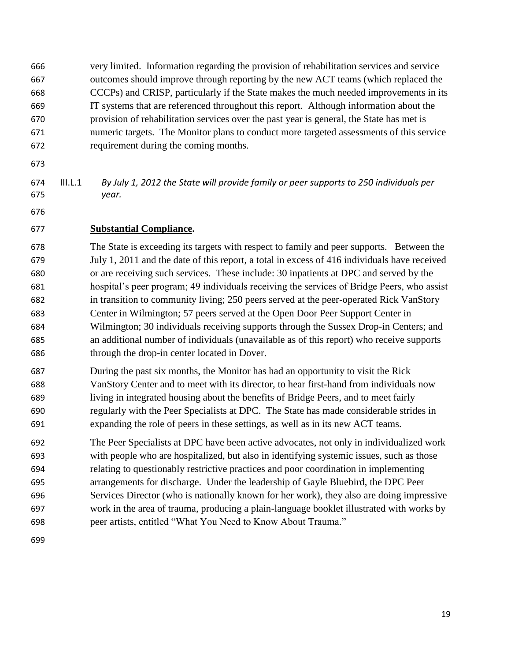very limited. Information regarding the provision of rehabilitation services and service outcomes should improve through reporting by the new ACT teams (which replaced the CCCPs) and CRISP, particularly if the State makes the much needed improvements in its IT systems that are referenced throughout this report. Although information about the provision of rehabilitation services over the past year is general, the State has met is numeric targets. The Monitor plans to conduct more targeted assessments of this service requirement during the coming months.

 III.L.1 *By July 1, 2012 the State will provide family or peer supports to 250 individuals per year.*

#### **Substantial Compliance.**

 The State is exceeding its targets with respect to family and peer supports. Between the July 1, 2011 and the date of this report, a total in excess of 416 individuals have received or are receiving such services. These include: 30 inpatients at DPC and served by the hospital's peer program; 49 individuals receiving the services of Bridge Peers, who assist in transition to community living; 250 peers served at the peer-operated Rick VanStory Center in Wilmington; 57 peers served at the Open Door Peer Support Center in Wilmington; 30 individuals receiving supports through the Sussex Drop-in Centers; and an additional number of individuals (unavailable as of this report) who receive supports through the drop-in center located in Dover.

 During the past six months, the Monitor has had an opportunity to visit the Rick VanStory Center and to meet with its director, to hear first-hand from individuals now living in integrated housing about the benefits of Bridge Peers, and to meet fairly regularly with the Peer Specialists at DPC. The State has made considerable strides in expanding the role of peers in these settings, as well as in its new ACT teams.

 The Peer Specialists at DPC have been active advocates, not only in individualized work with people who are hospitalized, but also in identifying systemic issues, such as those relating to questionably restrictive practices and poor coordination in implementing arrangements for discharge. Under the leadership of Gayle Bluebird, the DPC Peer Services Director (who is nationally known for her work), they also are doing impressive work in the area of trauma, producing a plain-language booklet illustrated with works by peer artists, entitled "What You Need to Know About Trauma."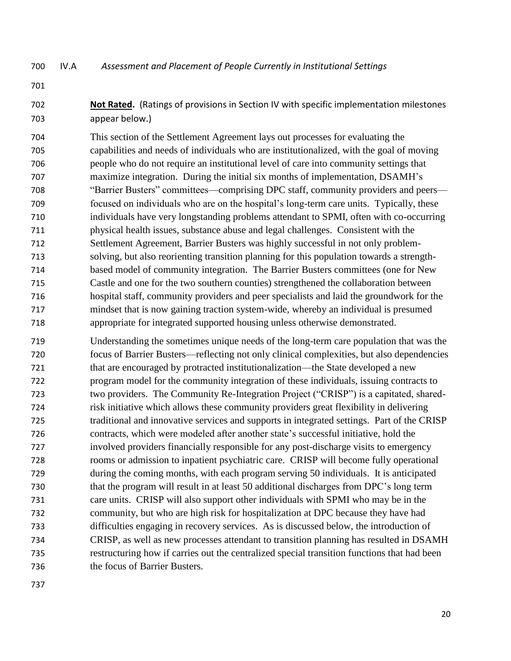IV.A *Assessment and Placement of People Currently in Institutional Settings*

 **Not Rated.** (Ratings of provisions in Section IV with specific implementation milestones appear below.)

 This section of the Settlement Agreement lays out processes for evaluating the capabilities and needs of individuals who are institutionalized, with the goal of moving people who do not require an institutional level of care into community settings that maximize integration. During the initial six months of implementation, DSAMH's "Barrier Busters" committees—comprising DPC staff, community providers and peers— focused on individuals who are on the hospital's long-term care units. Typically, these individuals have very longstanding problems attendant to SPMI, often with co-occurring physical health issues, substance abuse and legal challenges. Consistent with the Settlement Agreement, Barrier Busters was highly successful in not only problem- solving, but also reorienting transition planning for this population towards a strength- based model of community integration. The Barrier Busters committees (one for New Castle and one for the two southern counties) strengthened the collaboration between hospital staff, community providers and peer specialists and laid the groundwork for the mindset that is now gaining traction system-wide, whereby an individual is presumed appropriate for integrated supported housing unless otherwise demonstrated.

 Understanding the sometimes unique needs of the long-term care population that was the focus of Barrier Busters—reflecting not only clinical complexities, but also dependencies that are encouraged by protracted institutionalization—the State developed a new program model for the community integration of these individuals, issuing contracts to two providers. The Community Re-Integration Project ("CRISP") is a capitated, shared- risk initiative which allows these community providers great flexibility in delivering traditional and innovative services and supports in integrated settings. Part of the CRISP contracts, which were modeled after another state's successful initiative, hold the involved providers financially responsible for any post-discharge visits to emergency rooms or admission to inpatient psychiatric care. CRISP will become fully operational during the coming months, with each program serving 50 individuals. It is anticipated that the program will result in at least 50 additional discharges from DPC's long term care units. CRISP will also support other individuals with SPMI who may be in the community, but who are high risk for hospitalization at DPC because they have had difficulties engaging in recovery services. As is discussed below, the introduction of CRISP, as well as new processes attendant to transition planning has resulted in DSAMH restructuring how if carries out the centralized special transition functions that had been the focus of Barrier Busters.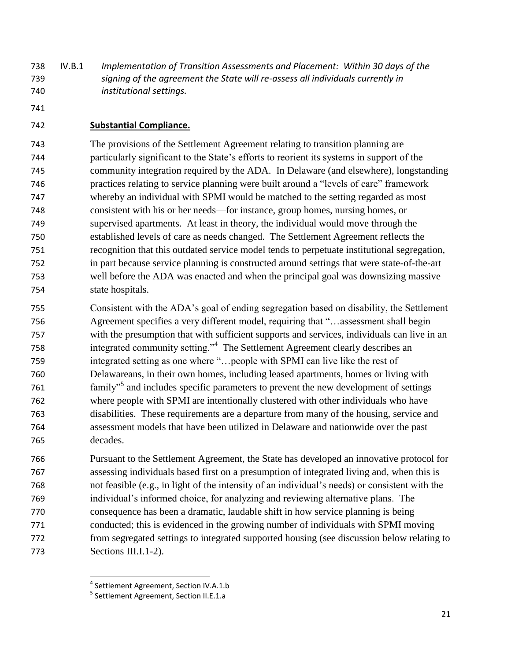IV.B.1 *Implementation of Transition Assessments and Placement: Within 30 days of the signing of the agreement the State will re-assess all individuals currently in institutional settings.*

#### **Substantial Compliance.**

 The provisions of the Settlement Agreement relating to transition planning are particularly significant to the State's efforts to reorient its systems in support of the community integration required by the ADA. In Delaware (and elsewhere), longstanding practices relating to service planning were built around a "levels of care" framework whereby an individual with SPMI would be matched to the setting regarded as most consistent with his or her needs—for instance, group homes, nursing homes, or supervised apartments. At least in theory, the individual would move through the established levels of care as needs changed. The Settlement Agreement reflects the recognition that this outdated service model tends to perpetuate institutional segregation, in part because service planning is constructed around settings that were state-of-the-art well before the ADA was enacted and when the principal goal was downsizing massive state hospitals.

 Consistent with the ADA's goal of ending segregation based on disability, the Settlement Agreement specifies a very different model, requiring that "…assessment shall begin with the presumption that with sufficient supports and services, individuals can live in an 758 integrated community setting."<sup>4</sup> The Settlement Agreement clearly describes an integrated setting as one where "…people with SPMI can live like the rest of Delawareans, in their own homes, including leased apartments, homes or living with **hand includes specific parameters to prevent the new development of settings**  where people with SPMI are intentionally clustered with other individuals who have disabilities. These requirements are a departure from many of the housing, service and assessment models that have been utilized in Delaware and nationwide over the past decades.

 Pursuant to the Settlement Agreement, the State has developed an innovative protocol for assessing individuals based first on a presumption of integrated living and, when this is not feasible (e.g., in light of the intensity of an individual's needs) or consistent with the individual's informed choice, for analyzing and reviewing alternative plans. The consequence has been a dramatic, laudable shift in how service planning is being conducted; this is evidenced in the growing number of individuals with SPMI moving from segregated settings to integrated supported housing (see discussion below relating to Sections III.I.1-2).

l

Settlement Agreement, Section IV.A.1.b

<sup>&</sup>lt;sup>5</sup> Settlement Agreement, Section II.E.1.a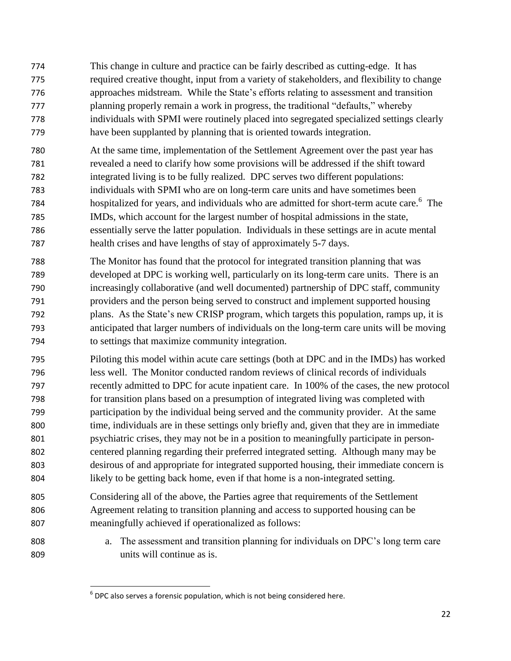- This change in culture and practice can be fairly described as cutting-edge. It has required creative thought, input from a variety of stakeholders, and flexibility to change approaches midstream. While the State's efforts relating to assessment and transition planning properly remain a work in progress, the traditional "defaults," whereby individuals with SPMI were routinely placed into segregated specialized settings clearly have been supplanted by planning that is oriented towards integration.
- At the same time, implementation of the Settlement Agreement over the past year has revealed a need to clarify how some provisions will be addressed if the shift toward integrated living is to be fully realized. DPC serves two different populations: individuals with SPMI who are on long-term care units and have sometimes been 784 hospitalized for years, and individuals who are admitted for short-term acute care.<sup>6</sup> The IMDs, which account for the largest number of hospital admissions in the state, essentially serve the latter population. Individuals in these settings are in acute mental health crises and have lengths of stay of approximately 5-7 days.
- The Monitor has found that the protocol for integrated transition planning that was developed at DPC is working well, particularly on its long-term care units. There is an increasingly collaborative (and well documented) partnership of DPC staff, community providers and the person being served to construct and implement supported housing plans. As the State's new CRISP program, which targets this population, ramps up, it is anticipated that larger numbers of individuals on the long-term care units will be moving to settings that maximize community integration.
- Piloting this model within acute care settings (both at DPC and in the IMDs) has worked less well. The Monitor conducted random reviews of clinical records of individuals recently admitted to DPC for acute inpatient care. In 100% of the cases, the new protocol for transition plans based on a presumption of integrated living was completed with participation by the individual being served and the community provider. At the same time, individuals are in these settings only briefly and, given that they are in immediate psychiatric crises, they may not be in a position to meaningfully participate in person- centered planning regarding their preferred integrated setting. Although many may be desirous of and appropriate for integrated supported housing, their immediate concern is likely to be getting back home, even if that home is a non-integrated setting.
- Considering all of the above, the Parties agree that requirements of the Settlement Agreement relating to transition planning and access to supported housing can be meaningfully achieved if operationalized as follows:
- a. The assessment and transition planning for individuals on DPC's long term care units will continue as is.

 $\overline{\phantom{a}}$  $^6$  DPC also serves a forensic population, which is not being considered here.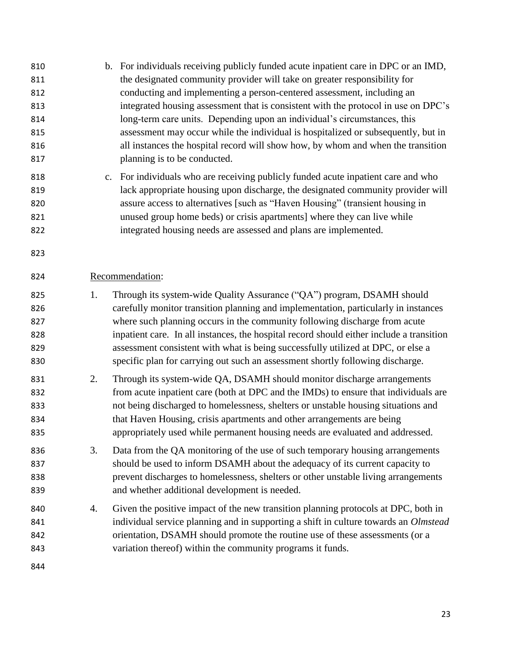b. For individuals receiving publicly funded acute inpatient care in DPC or an IMD, the designated community provider will take on greater responsibility for conducting and implementing a person-centered assessment, including an integrated housing assessment that is consistent with the protocol in use on DPC's long-term care units. Depending upon an individual's circumstances, this assessment may occur while the individual is hospitalized or subsequently, but in all instances the hospital record will show how, by whom and when the transition planning is to be conducted. c. For individuals who are receiving publicly funded acute inpatient care and who lack appropriate housing upon discharge, the designated community provider will assure access to alternatives [such as "Haven Housing" (transient housing in unused group home beds) or crisis apartments] where they can live while integrated housing needs are assessed and plans are implemented. Recommendation: 1. Through its system-wide Quality Assurance ("QA") program, DSAMH should carefully monitor transition planning and implementation, particularly in instances where such planning occurs in the community following discharge from acute inpatient care. In all instances, the hospital record should either include a transition assessment consistent with what is being successfully utilized at DPC, or else a specific plan for carrying out such an assessment shortly following discharge. 2. Through its system-wide QA, DSAMH should monitor discharge arrangements from acute inpatient care (both at DPC and the IMDs) to ensure that individuals are not being discharged to homelessness, shelters or unstable housing situations and that Haven Housing, crisis apartments and other arrangements are being appropriately used while permanent housing needs are evaluated and addressed. 3. Data from the QA monitoring of the use of such temporary housing arrangements should be used to inform DSAMH about the adequacy of its current capacity to prevent discharges to homelessness, shelters or other unstable living arrangements and whether additional development is needed. 4. Given the positive impact of the new transition planning protocols at DPC, both in individual service planning and in supporting a shift in culture towards an *Olmstead* orientation, DSAMH should promote the routine use of these assessments (or a variation thereof) within the community programs it funds.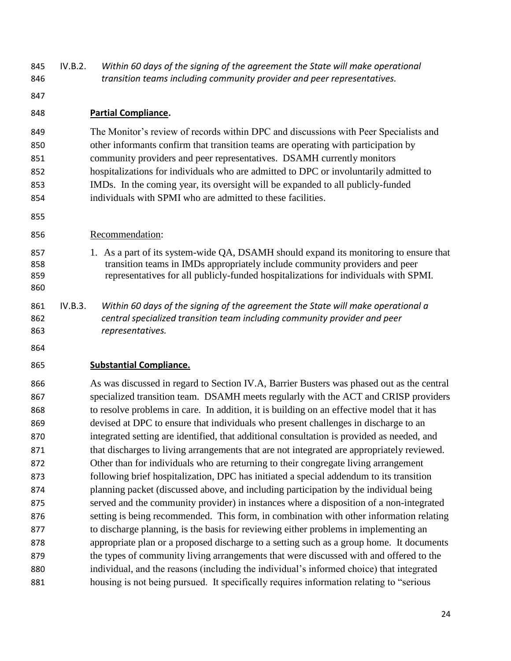IV.B.2. *Within 60 days of the signing of the agreement the State will make operational transition teams including community provider and peer representatives.*

#### **Partial Compliance.**

 The Monitor's review of records within DPC and discussions with Peer Specialists and other informants confirm that transition teams are operating with participation by community providers and peer representatives. DSAMH currently monitors hospitalizations for individuals who are admitted to DPC or involuntarily admitted to IMDs. In the coming year, its oversight will be expanded to all publicly-funded individuals with SPMI who are admitted to these facilities.

- Recommendation:
- 857 1. As a part of its system-wide QA, DSAMH should expand its monitoring to ensure that transition teams in IMDs appropriately include community providers and peer representatives for all publicly-funded hospitalizations for individuals with SPMI.
- IV.B.3. *Within 60 days of the signing of the agreement the State will make operational a central specialized transition team including community provider and peer representatives.*
- 

## **Substantial Compliance.**

 As was discussed in regard to Section IV.A, Barrier Busters was phased out as the central specialized transition team. DSAMH meets regularly with the ACT and CRISP providers to resolve problems in care. In addition, it is building on an effective model that it has devised at DPC to ensure that individuals who present challenges in discharge to an integrated setting are identified, that additional consultation is provided as needed, and 871 that discharges to living arrangements that are not integrated are appropriately reviewed. Other than for individuals who are returning to their congregate living arrangement following brief hospitalization, DPC has initiated a special addendum to its transition planning packet (discussed above, and including participation by the individual being served and the community provider) in instances where a disposition of a non-integrated setting is being recommended. This form, in combination with other information relating to discharge planning, is the basis for reviewing either problems in implementing an appropriate plan or a proposed discharge to a setting such as a group home. It documents the types of community living arrangements that were discussed with and offered to the individual, and the reasons (including the individual's informed choice) that integrated housing is not being pursued. It specifically requires information relating to "serious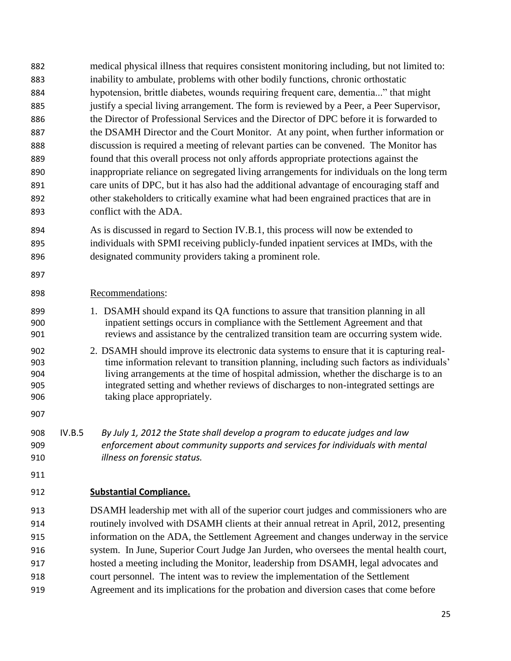- medical physical illness that requires consistent monitoring including, but not limited to: inability to ambulate, problems with other bodily functions, chronic orthostatic hypotension, brittle diabetes, wounds requiring frequent care, dementia..." that might 885 justify a special living arrangement. The form is reviewed by a Peer, a Peer Supervisor, the Director of Professional Services and the Director of DPC before it is forwarded to the DSAMH Director and the Court Monitor. At any point, when further information or discussion is required a meeting of relevant parties can be convened. The Monitor has found that this overall process not only affords appropriate protections against the inappropriate reliance on segregated living arrangements for individuals on the long term care units of DPC, but it has also had the additional advantage of encouraging staff and other stakeholders to critically examine what had been engrained practices that are in conflict with the ADA. As is discussed in regard to Section IV.B.1, this process will now be extended to individuals with SPMI receiving publicly-funded inpatient services at IMDs, with the designated community providers taking a prominent role. Recommendations: 1. DSAMH should expand its QA functions to assure that transition planning in all inpatient settings occurs in compliance with the Settlement Agreement and that reviews and assistance by the centralized transition team are occurring system wide. 2. DSAMH should improve its electronic data systems to ensure that it is capturing real- time information relevant to transition planning, including such factors as individuals' living arrangements at the time of hospital admission, whether the discharge is to an integrated setting and whether reviews of discharges to non-integrated settings are taking place appropriately. IV.B.5 *By July 1, 2012 the State shall develop a program to educate judges and law enforcement about community supports and services for individuals with mental illness on forensic status.* **Substantial Compliance.** DSAMH leadership met with all of the superior court judges and commissioners who are routinely involved with DSAMH clients at their annual retreat in April, 2012, presenting information on the ADA, the Settlement Agreement and changes underway in the service system. In June, Superior Court Judge Jan Jurden, who oversees the mental health court, hosted a meeting including the Monitor, leadership from DSAMH, legal advocates and court personnel. The intent was to review the implementation of the Settlement
- Agreement and its implications for the probation and diversion cases that come before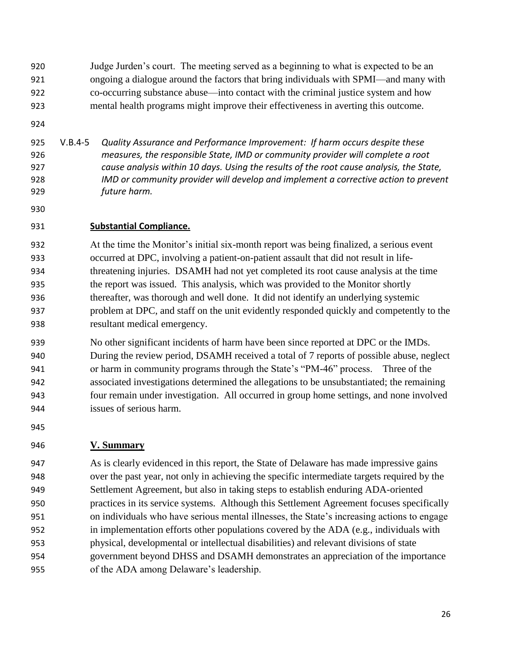Judge Jurden's court. The meeting served as a beginning to what is expected to be an ongoing a dialogue around the factors that bring individuals with SPMI—and many with co-occurring substance abuse—into contact with the criminal justice system and how mental health programs might improve their effectiveness in averting this outcome.

 V.B.4-5 *Quality Assurance and Performance Improvement: If harm occurs despite these measures, the responsible State, IMD or community provider will complete a root cause analysis within 10 days. Using the results of the root cause analysis, the State, IMD or community provider will develop and implement a corrective action to prevent future harm.* 

#### **Substantial Compliance.**

 At the time the Monitor's initial six-month report was being finalized, a serious event occurred at DPC, involving a patient-on-patient assault that did not result in life- threatening injuries. DSAMH had not yet completed its root cause analysis at the time the report was issued. This analysis, which was provided to the Monitor shortly thereafter, was thorough and well done. It did not identify an underlying systemic problem at DPC, and staff on the unit evidently responded quickly and competently to the resultant medical emergency.

 No other significant incidents of harm have been since reported at DPC or the IMDs. During the review period, DSAMH received a total of 7 reports of possible abuse, neglect or harm in community programs through the State's "PM-46" process. Three of the associated investigations determined the allegations to be unsubstantiated; the remaining four remain under investigation. All occurred in group home settings, and none involved issues of serious harm.

## **V. Summary**

 As is clearly evidenced in this report, the State of Delaware has made impressive gains over the past year, not only in achieving the specific intermediate targets required by the Settlement Agreement, but also in taking steps to establish enduring ADA-oriented practices in its service systems. Although this Settlement Agreement focuses specifically on individuals who have serious mental illnesses, the State's increasing actions to engage in implementation efforts other populations covered by the ADA (e.g., individuals with physical, developmental or intellectual disabilities) and relevant divisions of state government beyond DHSS and DSAMH demonstrates an appreciation of the importance of the ADA among Delaware's leadership.